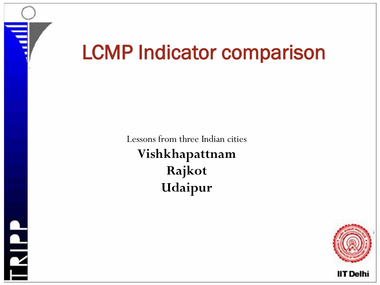

**RIPP** 

# LCMP Indicator comparison

Lessons from three Indian cities **Vishkhapattnam Rajkot Udaipur**

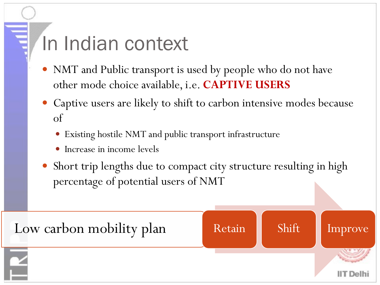#### In Indian context

- NMT and Public transport is used by people who do not have other mode choice available, i.e. **CAPTIVE USERS**
- Captive users are likely to shift to carbon intensive modes because of
	- Existing hostile NMT and public transport infrastructure
	- Increase in income levels
- Short trip lengths due to compact city structure resulting in high percentage of potential users of NMT

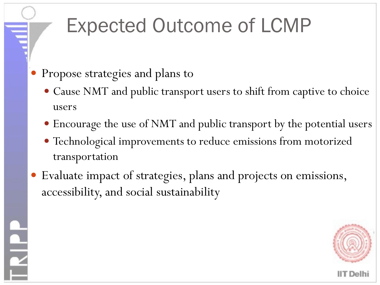## Expected Outcome of LCMP

Propose strategies and plans to

 $\frac{1}{\epsilon}$ 

- Cause NMT and public transport users to shift from captive to choice users
- Encourage the use of NMT and public transport by the potential users
- Technological improvements to reduce emissions from motorized transportation
- Evaluate impact of strategies, plans and projects on emissions, accessibility, and social sustainability

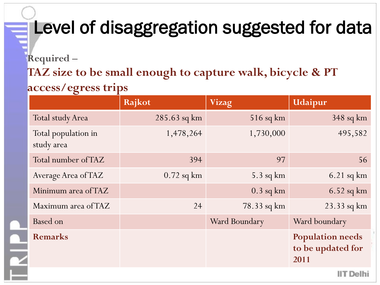#### Level of disaggregation suggested for data

**Required –**

**TAZ size to be small enough to capture walk, bicycle & PT** 

#### **access/egress trips**

|                                   | Rajkot         | <b>Vizag</b>  | Udaipur                                              |
|-----------------------------------|----------------|---------------|------------------------------------------------------|
| <b>Total study Area</b>           | $285.63$ sq km | $516$ sq km   | $348$ sq km                                          |
| Total population in<br>study area | 1,478,264      | 1,730,000     | 495,582                                              |
| Total number of TAZ               | 394            | 97            | 56                                                   |
| Average Area of TAZ               | $0.72$ sq km   | $5.3$ sq km   | $6.21$ sq km                                         |
| Minimum area of TAZ               |                | $0.3$ sq km   | $6.52$ sq km                                         |
| Maximum area of TAZ               | 24             | 78.33 sq km   | $23.33$ sq km                                        |
| Based on                          |                | Ward Boundary | Ward boundary                                        |
| <b>Remarks</b>                    |                |               | <b>Population needs</b><br>to be updated for<br>2011 |
|                                   |                |               | IIT Delhi                                            |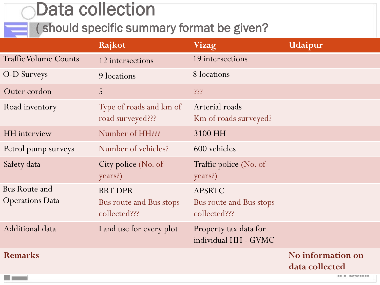**OData collection**<br>( should specific summary format be given?

|                                                | Rajkot                                                    | <b>Vizag</b>                                             | Udaipur                             |
|------------------------------------------------|-----------------------------------------------------------|----------------------------------------------------------|-------------------------------------|
| <b>Traffic Volume Counts</b>                   | 12 intersections                                          | 19 intersections                                         |                                     |
| O-D Surveys                                    | 9 locations                                               | 8 locations                                              |                                     |
| Outer cordon                                   | 5                                                         | 333                                                      |                                     |
| Road inventory                                 | Type of roads and km of<br>road surveyed???               | Arterial roads<br>Km of roads surveyed?                  |                                     |
| <b>HH</b> interview                            | Number of HH???                                           | 3100 HH                                                  |                                     |
| Petrol pump surveys                            | Number of vehicles?                                       | 600 vehicles                                             |                                     |
| Safety data                                    | City police (No. of<br>years?)                            | Traffic police (No. of<br>years?)                        |                                     |
| <b>Bus Route and</b><br><b>Operations Data</b> | <b>BRT DPR</b><br>Bus route and Bus stops<br>collected??? | <b>APSRTC</b><br>Bus route and Bus stops<br>collected??? |                                     |
| Additional data                                | Land use for every plot                                   | Property tax data for<br>individual HH - GVMC            |                                     |
| <b>Remarks</b>                                 |                                                           |                                                          | No information on<br>data collected |
|                                                |                                                           |                                                          | <b>ILL MAY 11 11</b>                |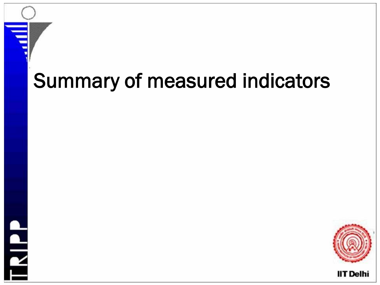## Summary of measured indicators



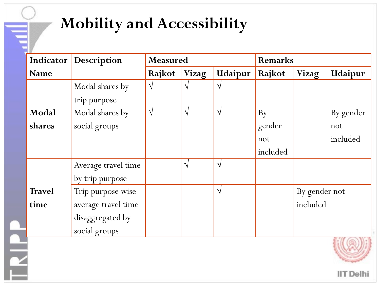#### **Mobility and Accessibility**

|               | <b>Indicator</b> Description | Measured  |            |            | <b>Remarks</b> |               |           |
|---------------|------------------------------|-----------|------------|------------|----------------|---------------|-----------|
| <b>Name</b>   |                              | Rajkot    | Vizag      | Udaipur    | Rajkot         | <b>Vizag</b>  | Udaipur   |
|               | Modal shares by              | $\sqrt{}$ | $\sqrt{}$  | $\sqrt{ }$ |                |               |           |
|               | trip purpose                 |           |            |            |                |               |           |
| Modal         | Modal shares by              | $\sqrt{}$ | $\sqrt{ }$ | $\sqrt{ }$ | By             |               | By gender |
| shares        | social groups                |           |            |            | gender         |               | not       |
|               |                              |           |            |            | not            |               | included  |
|               |                              |           |            |            | included       |               |           |
|               | Average travel time          |           | $\sqrt{ }$ | $\sqrt{ }$ |                |               |           |
|               | by trip purpose              |           |            |            |                |               |           |
| <b>Travel</b> | Trip purpose wise            |           |            | $\sqrt{ }$ |                | By gender not |           |
| time          | average travel time          |           |            |            |                | included      |           |
|               | disaggregated by             |           |            |            |                |               |           |
|               | social groups                |           |            |            |                |               |           |
|               |                              |           |            |            |                |               |           |
|               |                              |           |            |            |                |               |           |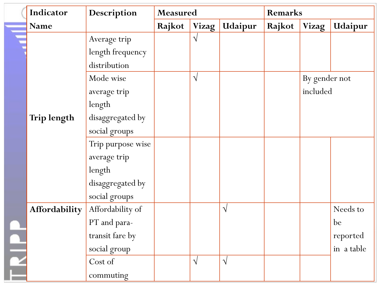| Indicator     | Description       | <b>Measured</b> |              |            | Remarks |               |            |
|---------------|-------------------|-----------------|--------------|------------|---------|---------------|------------|
| Name          |                   | Rajkot          | <b>Vizag</b> | Udaipur    | Rajkot  | <b>Vizag</b>  | Udaipur    |
|               | Average trip      |                 | $\sqrt{}$    |            |         |               |            |
|               | length frequency  |                 |              |            |         |               |            |
|               | distribution      |                 |              |            |         |               |            |
|               | Mode wise         |                 | $\sqrt{}$    |            |         | By gender not |            |
|               | average trip      |                 |              |            |         | included      |            |
|               | length            |                 |              |            |         |               |            |
| Trip length   | disaggregated by  |                 |              |            |         |               |            |
|               | social groups     |                 |              |            |         |               |            |
|               | Trip purpose wise |                 |              |            |         |               |            |
|               | average trip      |                 |              |            |         |               |            |
|               | length            |                 |              |            |         |               |            |
|               | disaggregated by  |                 |              |            |         |               |            |
|               | social groups     |                 |              |            |         |               |            |
| Affordability | Affordability of  |                 |              | $\sqrt{ }$ |         |               | Needs to   |
|               | PT and para-      |                 |              |            |         |               | be         |
|               | transit fare by   |                 |              |            |         |               | reported   |
|               | social group      |                 |              |            |         |               | in a table |
|               | Cost of           |                 | $\sqrt{}$    | $\sqrt{ }$ |         |               |            |
|               | commuting         |                 |              |            |         |               |            |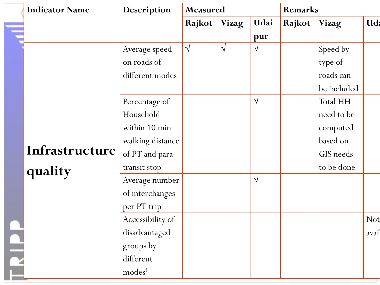| <b>Indicator Name</b> | Description        | Measured   |              |            | <b>Remarks</b> |              |            |
|-----------------------|--------------------|------------|--------------|------------|----------------|--------------|------------|
|                       |                    | Rajkot     | <b>Vizag</b> | Udai       | Rajkot         | <b>Vizag</b> | Ud.        |
|                       |                    |            |              | pur        |                |              |            |
|                       | Average speed      | $\sqrt{ }$ | $\sqrt{ }$   | $\sqrt{ }$ |                | Speed by     |            |
|                       | on roads of        |            |              |            |                | type of      |            |
|                       | different modes    |            |              |            |                | roads can    |            |
|                       |                    |            |              |            |                | be included  |            |
|                       | Percentage of      |            |              | $\sqrt{ }$ |                | Total HH     |            |
|                       | Household          |            |              |            |                | need to be   |            |
|                       | within 10 min      |            |              |            |                | computed     |            |
|                       | walking distance   |            |              |            |                | based on     |            |
| Infrastructure        | of PT and para-    |            |              |            |                | GIS needs    |            |
| quality               | transit stop       |            |              |            |                | to be done   |            |
|                       | Average number     |            |              | $\sqrt{}$  |                |              |            |
|                       | of interchanges    |            |              |            |                |              |            |
|                       | per PT trip        |            |              |            |                |              |            |
|                       | Accessibility of   |            |              |            |                |              | <b>Not</b> |
|                       | disadvantaged      |            |              |            |                |              | avail      |
|                       | groups by          |            |              |            |                |              |            |
|                       | different          |            |              |            |                |              |            |
|                       | modes <sup>1</sup> |            |              |            |                |              |            |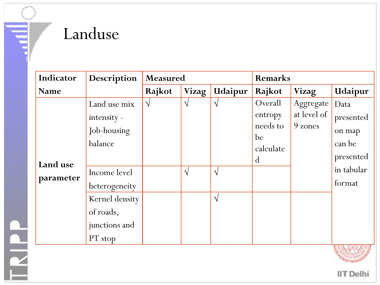#### Landuse

Fair.

| Indicator             | Description                                                                                                                                       | Measured   |                          |                                          | <b>Remarks</b>                                                   |                                     |                                                                                      |  |
|-----------------------|---------------------------------------------------------------------------------------------------------------------------------------------------|------------|--------------------------|------------------------------------------|------------------------------------------------------------------|-------------------------------------|--------------------------------------------------------------------------------------|--|
| Name                  |                                                                                                                                                   | Rajkot     | <b>Vizag</b>             | Udaipur                                  | Rajkot                                                           | <b>Vizag</b>                        | Udaipur                                                                              |  |
| Land use<br>parameter | Land use mix<br>intensity -<br>Job-housing<br>balance<br>Income level<br>heterogeneity<br>Kernel density<br>of roads,<br>junctions and<br>PT stop | $\sqrt{ }$ | $\sqrt{ }$<br>$\sqrt{ }$ | $\sqrt{}$<br>$\mathcal{N}$<br>$\sqrt{ }$ | Overall<br>entropy<br>needs to<br>be<br>calculate<br>$\mathbf d$ | Aggregate<br>at level of<br>9 zones | Data<br>presented<br>on map<br>can be<br>presented<br>in tabular<br>format<br>$\sim$ |  |

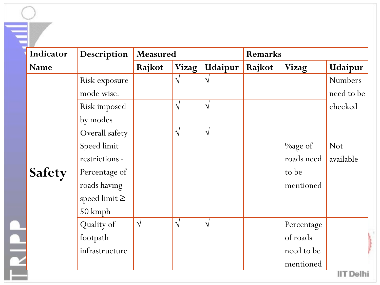| Indicator   | Description        | Measured   |              |            | <b>Remarks</b> |              |            |
|-------------|--------------------|------------|--------------|------------|----------------|--------------|------------|
| <b>Name</b> |                    | Rajkot     | <b>Vizag</b> | Udaipur    | Rajkot         | <b>Vizag</b> | Udaipur    |
|             | Risk exposure      |            | $\sqrt{}$    | $\sqrt{ }$ |                |              | Numbers    |
|             | mode wise.         |            |              |            |                |              | need to be |
|             | Risk imposed       |            | $\sqrt{ }$   | $\sqrt{ }$ |                |              | checked    |
|             | by modes           |            |              |            |                |              |            |
|             | Overall safety     |            | $\sqrt{}$    | $\sqrt{ }$ |                |              |            |
|             | Speed limit        |            |              |            |                | $\%$ age of  | <b>Not</b> |
|             | restrictions -     |            |              |            |                | roads need   | available  |
| Safety      | Percentage of      |            |              |            |                | to be        |            |
|             | roads having       |            |              |            |                | mentioned    |            |
|             | speed limit $\geq$ |            |              |            |                |              |            |
|             | 50 kmph            |            |              |            |                |              |            |
|             | Quality of         | $\sqrt{ }$ | $\sqrt{ }$   | $\sqrt{ }$ |                | Percentage   |            |
|             | footpath           |            |              |            |                | of roads     |            |
|             | infrastructure     |            |              |            |                | need to be   |            |
|             |                    |            |              |            |                | mentioned    |            |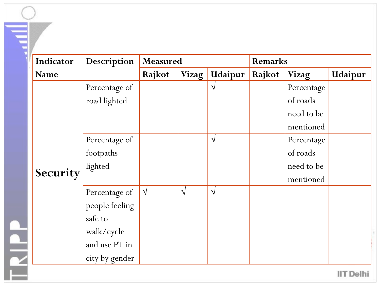| Indicator | Description    | Measured   |           |           | Remarks |              |         |
|-----------|----------------|------------|-----------|-----------|---------|--------------|---------|
| Name      |                | Rajkot     | Vizag     | Udaipur   | Rajkot  | <b>Vizag</b> | Udaipur |
|           | Percentage of  |            |           | $\sqrt{}$ |         | Percentage   |         |
|           | road lighted   |            |           |           |         | of roads     |         |
|           |                |            |           |           |         | need to be   |         |
|           |                |            |           |           |         | mentioned    |         |
|           | Percentage of  |            |           | $\sqrt{}$ |         | Percentage   |         |
|           | footpaths      |            |           |           |         | of roads     |         |
|           | lighted        |            |           |           |         | need to be   |         |
| Security  |                |            |           |           |         | mentioned    |         |
|           | Percentage of  | $\sqrt{ }$ | $\sqrt{}$ | $\sqrt{}$ |         |              |         |
|           | people feeling |            |           |           |         |              |         |
|           | safe to        |            |           |           |         |              |         |
|           | walk/cycle     |            |           |           |         |              |         |
|           | and use PT in  |            |           |           |         |              |         |
|           | city by gender |            |           |           |         |              |         |

**IIT Delhi** 

÷.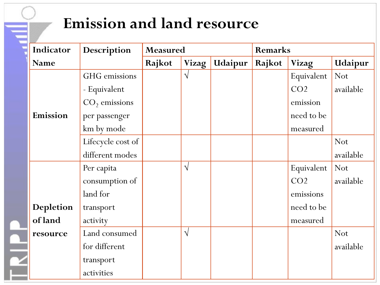#### **Emission and land resource**

|                        | Indicator   | Description       | Measured |            |         |        | <b>Remarks</b>  |            |  |  |
|------------------------|-------------|-------------------|----------|------------|---------|--------|-----------------|------------|--|--|
|                        | <b>Name</b> |                   | Rajkot   | Vizag      | Udaipur | Rajkot | <b>Vizag</b>    | Udaipur    |  |  |
|                        |             | GHG emissions     |          | $\sqrt{ }$ |         |        | Equivalent      | <b>Not</b> |  |  |
|                        |             | - Equivalent      |          |            |         |        | CO <sub>2</sub> | available  |  |  |
|                        |             | $CO2$ emissions   |          |            |         |        | emission        |            |  |  |
|                        | Emission    | per passenger     |          |            |         |        | need to be      |            |  |  |
|                        |             | km by mode        |          |            |         |        | measured        |            |  |  |
|                        |             | Lifecycle cost of |          |            |         |        |                 | <b>Not</b> |  |  |
|                        |             | different modes   |          |            |         |        |                 | available  |  |  |
|                        |             | Per capita        |          | $\sqrt{ }$ |         |        | Equivalent      | <b>Not</b> |  |  |
|                        |             | consumption of    |          |            |         |        | CO <sub>2</sub> | available  |  |  |
|                        |             | land for          |          |            |         |        | emissions       |            |  |  |
|                        | Depletion   | transport         |          |            |         |        | need to be      |            |  |  |
|                        | of land     | activity          |          |            |         |        | measured        |            |  |  |
|                        | resource    | Land consumed     |          | $\sqrt{}$  |         |        |                 | <b>Not</b> |  |  |
| $\frac{1}{\mathbf{Y}}$ |             | for different     |          |            |         |        |                 | available  |  |  |
|                        |             | transport         |          |            |         |        |                 |            |  |  |
|                        |             | activities        |          |            |         |        |                 |            |  |  |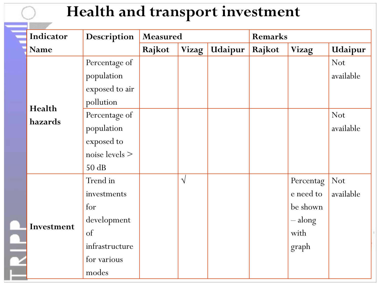#### **Health and transport investment**

|  | Indicator   | Description      | Measured |            |         | Remarks |                 |            |
|--|-------------|------------------|----------|------------|---------|---------|-----------------|------------|
|  | <b>Name</b> |                  | Rajkot   | Vizag      | Udaipur | Rajkot  | Vizag           | Udaipur    |
|  |             | Percentage of    |          |            |         |         |                 | <b>Not</b> |
|  |             | population       |          |            |         |         |                 | available  |
|  |             | exposed to air   |          |            |         |         |                 |            |
|  | Health      | pollution        |          |            |         |         |                 |            |
|  | hazards     | Percentage of    |          |            |         |         |                 | <b>Not</b> |
|  |             | population       |          |            |         |         |                 | available  |
|  |             | exposed to       |          |            |         |         |                 |            |
|  |             | noise levels $>$ |          |            |         |         |                 |            |
|  |             | 50 dB            |          |            |         |         |                 |            |
|  |             | Trend in         |          | $\sqrt{ }$ |         |         | Percentag       | <b>Not</b> |
|  |             | investments      |          |            |         |         | e need to       | available  |
|  |             | for              |          |            |         |         | be shown        |            |
|  |             | development      |          |            |         |         | $-\text{along}$ |            |
|  | Investment  | of               |          |            |         |         | with            |            |
|  |             | infrastructure   |          |            |         |         | graph           |            |
|  |             | for various      |          |            |         |         |                 |            |
|  |             | modes            |          |            |         |         |                 |            |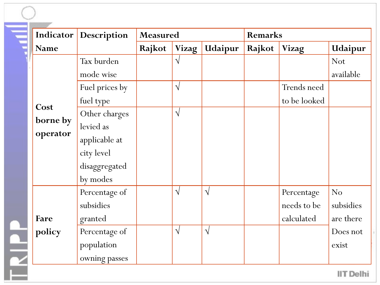| Indicator        | Description    | Measured |              |            | <b>Remarks</b> |              |                |
|------------------|----------------|----------|--------------|------------|----------------|--------------|----------------|
| <b>Name</b>      |                | Rajkot   | <b>Vizag</b> | Udaipur    | Rajkot         | <b>Vizag</b> | Udaipur        |
|                  | Tax burden     |          | $\sqrt{}$    |            |                |              | <b>Not</b>     |
|                  | mode wise      |          |              |            |                |              | available      |
| Cost<br>borne by | Fuel prices by |          | $\sqrt{}$    |            |                | Trends need  |                |
|                  | fuel type      |          |              |            |                | to be looked |                |
|                  | Other charges  |          | $\sqrt{}$    |            |                |              |                |
|                  | levied as      |          |              |            |                |              |                |
| operator         | applicable at  |          |              |            |                |              |                |
|                  | city level     |          |              |            |                |              |                |
|                  | disaggregated  |          |              |            |                |              |                |
|                  | by modes       |          |              |            |                |              |                |
|                  | Percentage of  |          | $\sqrt{ }$   | $\sqrt{ }$ |                | Percentage   | N <sub>o</sub> |
|                  | subsidies      |          |              |            |                | needs to be  | subsidies      |
| Fare             | granted        |          |              |            |                | calculated   | are there      |
| policy           | Percentage of  |          | $\sqrt{ }$   | $\sqrt{ }$ |                |              | Does not       |
|                  | population     |          |              |            |                |              | exist          |
|                  | owning passes  |          |              |            |                |              |                |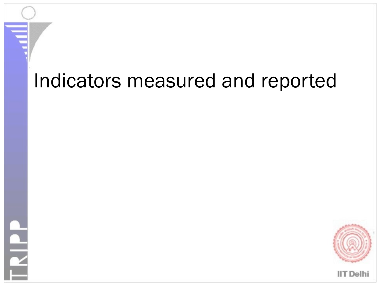#### Indicators measured and reported

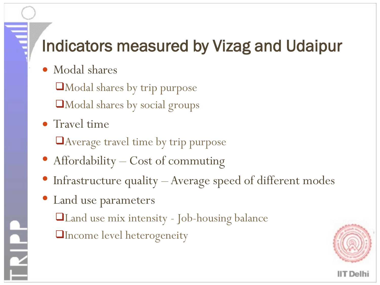#### Indicators measured by Vizag and Udaipur

Modal shares

Modal shares by trip purpose

Modal shares by social groups

• Travel time

Average travel time by trip purpose

- Affordability Cost of commuting
- Infrastructure quality Average speed of different modes
- Land use parameters

Land use mix intensity - Job-housing balance

**Theome level heterogeneity** 

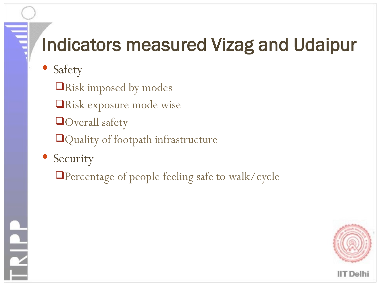#### Indicators measured Vizag and Udaipur

- Safety
	- **QRisk imposed by modes**
	- Risk exposure mode wise
	- **Overall safety**
	- **Quality of footpath infrastructure**
- Security
	- Percentage of people feeling safe to walk/cycle

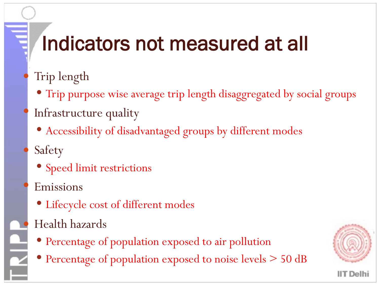## Indicators not measured at all

- Trip length
	- Trip purpose wise average trip length disaggregated by social groups
- Infrastructure quality
	- Accessibility of disadvantaged groups by different modes
- Safety
	- Speed limit restrictions
- Emissions
	- Lifecycle cost of different modes
- Health hazards
- Percentage of population exposed to air pollution
- Percentage of population exposed to noise levels  $> 50$  dB

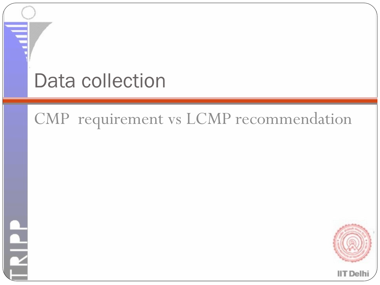#### Data collection

#### CMP requirement vs LCMP recommendation

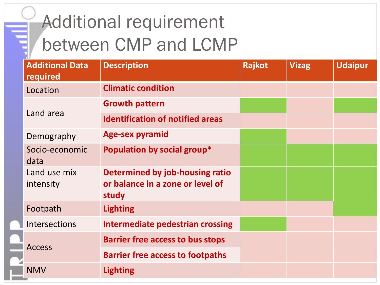| <b>Additional Data</b><br>required | <b>Description</b>                                                           | Rajkot | <b>Vizag</b> | <b>Udaipur</b> |
|------------------------------------|------------------------------------------------------------------------------|--------|--------------|----------------|
| Location                           | <b>Climatic condition</b>                                                    |        |              |                |
|                                    | <b>Growth pattern</b>                                                        |        |              |                |
| Land area                          | <b>Identification of notified areas</b>                                      |        |              |                |
| Demography                         | <b>Age-sex pyramid</b>                                                       |        |              |                |
| Socio-economic<br>data             | Population by social group*                                                  |        |              |                |
| Land use mix<br>intensity          | Determined by job-housing ratio<br>or balance in a zone or level of<br>study |        |              |                |
| Footpath                           | <b>Lighting</b>                                                              |        |              |                |
| <b>Intersections</b>               | <b>Intermediate pedestrian crossing</b>                                      |        |              |                |
|                                    | <b>Barrier free access to bus stops</b>                                      |        |              |                |
| <b>Access</b>                      | <b>Barrier free access to footpaths</b>                                      |        |              |                |
| <b>NMV</b>                         | <b>Lighting</b>                                                              |        |              |                |
|                                    |                                                                              |        |              |                |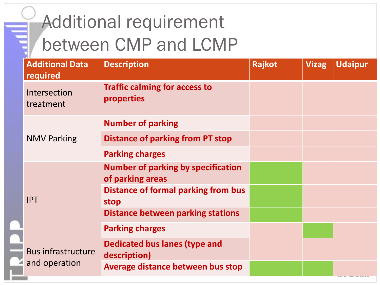|  | <b>Additional Data</b><br>required         | <b>Description</b>                                            | Rajkot | <b>Vizag</b> | <b>Udaipur</b> |
|--|--------------------------------------------|---------------------------------------------------------------|--------|--------------|----------------|
|  | Intersection<br>treatment                  | <b>Traffic calming for access to</b><br>properties            |        |              |                |
|  |                                            | <b>Number of parking</b>                                      |        |              |                |
|  | <b>NMV Parking</b>                         | Distance of parking from PT stop                              |        |              |                |
|  |                                            | <b>Parking charges</b>                                        |        |              |                |
|  | <b>IPT</b>                                 | <b>Number of parking by specification</b><br>of parking areas |        |              |                |
|  |                                            | Distance of formal parking from bus<br>stop                   |        |              |                |
|  |                                            | <b>Distance between parking stations</b>                      |        |              |                |
|  |                                            | <b>Parking charges</b>                                        |        |              |                |
|  | <b>Bus infrastructure</b><br>and operation | <b>Dedicated bus lanes (type and</b><br>description)          |        |              |                |
|  |                                            | Average distance between bus stop                             |        |              |                |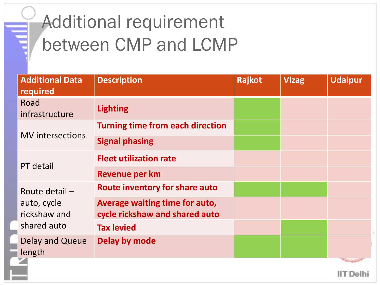| <b>Additional Data</b><br>required | <b>Description</b>                                               | Rajkot | <b>Vizag</b> | <b>Udaipur</b> |
|------------------------------------|------------------------------------------------------------------|--------|--------------|----------------|
| Road<br>infrastructure             | <b>Lighting</b>                                                  |        |              |                |
|                                    | <b>Turning time from each direction</b>                          |        |              |                |
| <b>MV</b> intersections            | <b>Signal phasing</b>                                            |        |              |                |
| PT detail                          | <b>Fleet utilization rate</b>                                    |        |              |                |
|                                    | Revenue per km                                                   |        |              |                |
| Route detail $-$                   | <b>Route inventory for share auto</b>                            |        |              |                |
| auto, cycle<br>rickshaw and        | Average waiting time for auto,<br>cycle rickshaw and shared auto |        |              |                |
| shared auto                        | <b>Tax levied</b>                                                |        |              |                |
| Delay and Queue<br>length          | Delay by mode                                                    |        |              |                |
|                                    |                                                                  |        |              |                |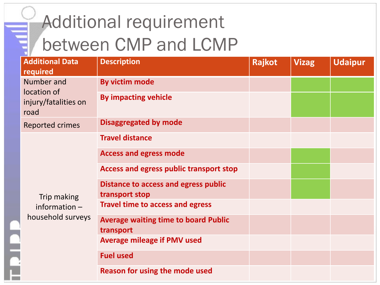| <b>Additional Data</b><br>required          | <b>Description</b>                                            | Rajkot | <b>Vizag</b> | <b>Udaipur</b> |
|---------------------------------------------|---------------------------------------------------------------|--------|--------------|----------------|
| Number and                                  | By victim mode                                                |        |              |                |
| location of<br>injury/fatalities on<br>road | <b>By impacting vehicle</b>                                   |        |              |                |
| <b>Reported crimes</b>                      | <b>Disaggregated by mode</b>                                  |        |              |                |
|                                             | <b>Travel distance</b>                                        |        |              |                |
|                                             | <b>Access and egress mode</b>                                 |        |              |                |
|                                             | <b>Access and egress public transport stop</b>                |        |              |                |
| Trip making                                 | <b>Distance to access and egress public</b><br>transport stop |        |              |                |
| information $-$                             | <b>Travel time to access and egress</b>                       |        |              |                |
| household surveys                           | <b>Average waiting time to board Public</b><br>transport      |        |              |                |
|                                             | <b>Average mileage if PMV used</b>                            |        |              |                |
|                                             | <b>Fuel used</b>                                              |        |              |                |
|                                             | <b>Reason for using the mode used</b>                         |        |              |                |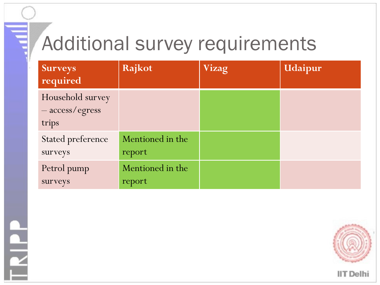#### Additional survey requirements

| <b>Surveys</b><br>required                   | Rajkot                     | Vizag | Udaipur |
|----------------------------------------------|----------------------------|-------|---------|
| Household survey<br>- access/egress<br>trips |                            |       |         |
| <b>Stated preference</b><br>surveys          | Mentioned in the<br>report |       |         |
| Petrol pump<br>surveys                       | Mentioned in the<br>report |       |         |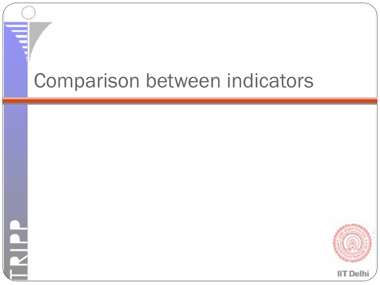#### Comparison between indicators

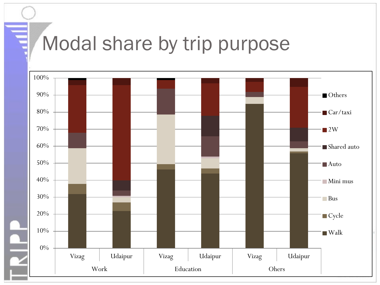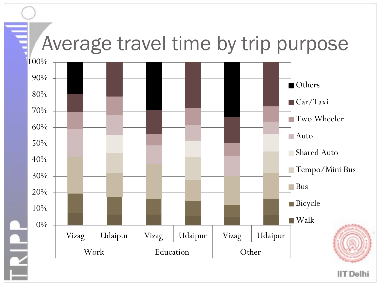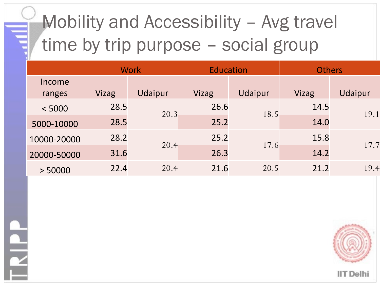### Mobility and Accessibility – Avg travel time by trip purpose - social group

|                  |       | <b>Work</b> | <b>Education</b> |         | <b>Others</b> |         |
|------------------|-------|-------------|------------------|---------|---------------|---------|
| Income<br>ranges | Vizag | Udaipur     | Vizag            | Udaipur | Vizag         | Udaipur |
| < 5000           | 28.5  | 20.3        | 26.6             | 18.5    | 14.5          | 19.1    |
| 5000-10000       | 28.5  |             | 25.2             |         | 14.0          |         |
| 10000-20000      | 28.2  | 20.4        | 25.2             | 17.6    | 15.8          | 17.7    |
| 20000-50000      | 31.6  |             | 26.3             |         | 14.2          |         |
| > 50000          | 22.4  | 20.4        | 21.6             | 20.5    | 21.2          | 19.4    |

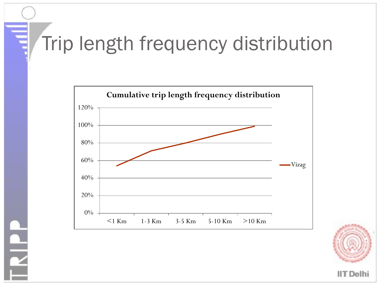#### Trip length frequency distribution



**PIP**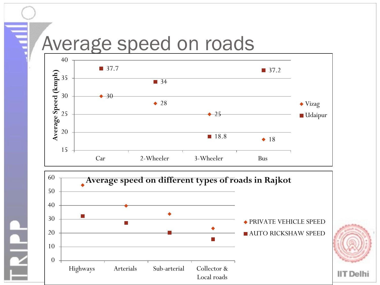#### Average speed on roads

 $\frac{1}{\epsilon}$ 



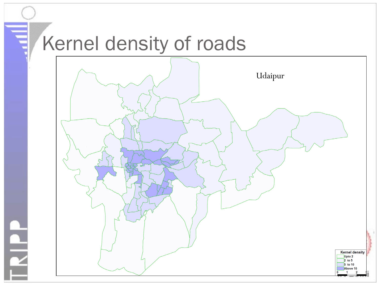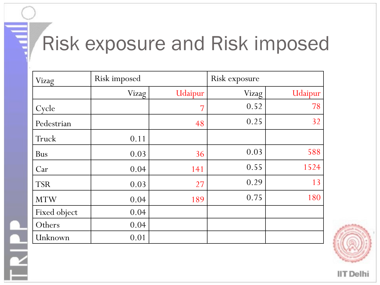#### Risk exposure and Risk imposed

| Vizag        | Risk imposed |         | Risk exposure |         |  |
|--------------|--------------|---------|---------------|---------|--|
|              | Vizag        | Udaipur | Vizag         | Udaipur |  |
| Cycle        |              | 7       | 0.52          | 78      |  |
| Pedestrian   |              | 48      | 0.25          | 32      |  |
| Truck        | 0.11         |         |               |         |  |
| <b>Bus</b>   | 0.03         | 36      | 0.03          | 588     |  |
| Car          | 0.04         | 141     | 0.55          | 1524    |  |
| <b>TSR</b>   | 0.03         | 27      | 0.29          | 13      |  |
| <b>MTW</b>   | 0.04         | 189     | 0.75          | 180     |  |
| Fixed object | 0.04         |         |               |         |  |
| Others       | 0.04         |         |               |         |  |
| Unknown      | 0.01         |         |               |         |  |

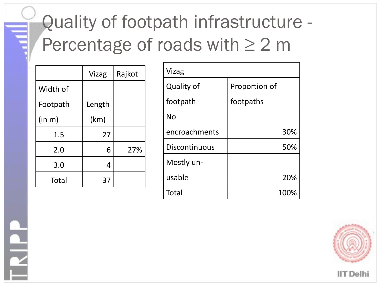#### Quality of footpath infrastructure - Percentage of roads with  $\geq 2$  m

|              | Vizag  | Rajkot |
|--------------|--------|--------|
| Width of     |        |        |
| Footpath     | Length |        |
| (in m)       | (km)   |        |
| 1.5          | 27     |        |
| 2.0          | 6      | 27%    |
| 3.0          | 4      |        |
| <b>Total</b> | 37     |        |

| Vizag                |               |  |  |  |
|----------------------|---------------|--|--|--|
| <b>Quality of</b>    | Proportion of |  |  |  |
| footpath             | footpaths     |  |  |  |
| <b>No</b>            |               |  |  |  |
| encroachments        | 30%           |  |  |  |
| <b>Discontinuous</b> | 50%           |  |  |  |
| Mostly un-           |               |  |  |  |
| usable               | 20%           |  |  |  |
| Total                | 100%          |  |  |  |

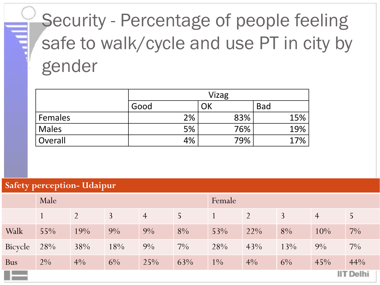## Security - Percentage of people feeling safe to walk/cycle and use PT in city by gender

|                | Vizag |     |            |  |  |  |
|----------------|-------|-----|------------|--|--|--|
|                | Good  | ΟK  | <b>Bad</b> |  |  |  |
| <b>Females</b> | 2%    | 83% | 15%        |  |  |  |
| Males          | 5%    | 76% | 19%        |  |  |  |
| Overall        | 4%    | 79% | 17%        |  |  |  |

#### **Safety perception- Udaipur**

|            | Male             |                |                |                | Female |       |        |       |                |                |
|------------|------------------|----------------|----------------|----------------|--------|-------|--------|-------|----------------|----------------|
|            |                  | $\overline{2}$ | $\overline{3}$ | $\overline{4}$ | 5      |       | 2      | 3     | $\overline{4}$ | $\overline{5}$ |
| Walk       | 55%              | 19%            | $9\%$          | $9\%$          | 8%     | 53%   | $22\%$ | 8%    | 10%            | $7\%$          |
| Bicycle    | 28%              | 38%            | 18%            | $9\%$          | $7\%$  | 28%   | 43%    | 13%   | $9\%$          | $7\%$          |
| <b>Bus</b> | $2\%$            | $4\%$          | $6\%$          | 25%            | 63%    | $1\%$ | $4\%$  | $6\%$ | 45%            | 44%            |
| a ka       | <b>IIT Delhi</b> |                |                |                |        |       |        |       |                |                |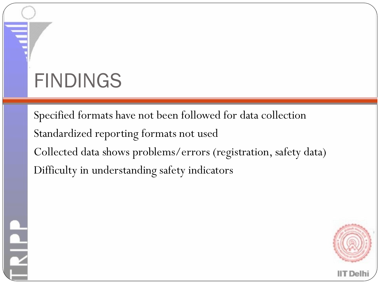# FINDINGS

Specified formats have not been followed for data collection Standardized reporting formats not used Collected data shows problems/errors (registration, safety data) Difficulty in understanding safety indicators

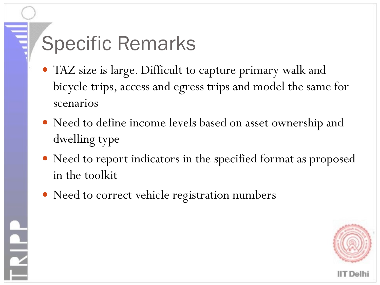## Specific Remarks

- TAZ size is large. Difficult to capture primary walk and bicycle trips, access and egress trips and model the same for scenarios
- Need to define income levels based on asset ownership and dwelling type
- Need to report indicators in the specified format as proposed in the toolkit
- Need to correct vehicle registration numbers